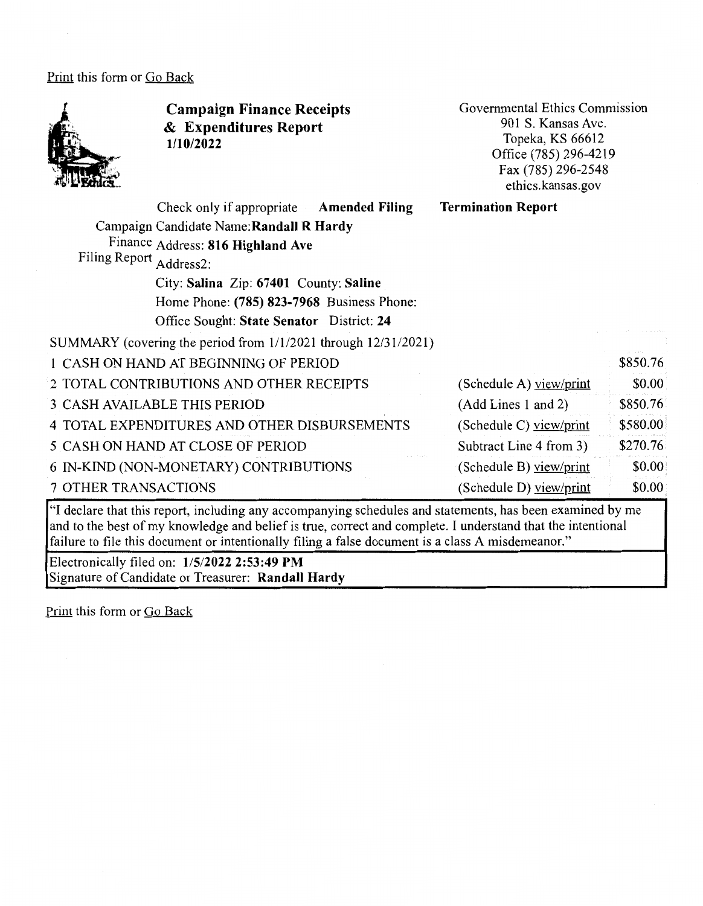Print this form or Go Back



**Campaign Finance Receipts**  & **Expenditures Report 1/10/2022** 

Governmental Ethics Commission 901 S. Kansas Ave. Topeka, KS 66612 Office (785) 296-4219 Fax(785)296-2548 ethics.kansas.gov

|                             | Check only if appropriate Amended Filing                       |  | <b>Termination Report</b> |          |  |
|-----------------------------|----------------------------------------------------------------|--|---------------------------|----------|--|
|                             | Campaign Candidate Name: Randall R Hardy                       |  |                           |          |  |
| Filing Report Address2:     | Finance Address: 816 Highland Ave                              |  |                           |          |  |
|                             |                                                                |  |                           |          |  |
|                             | City: Salina Zip: 67401 County: Saline                         |  |                           |          |  |
|                             | Home Phone: (785) 823-7968 Business Phone:                     |  |                           |          |  |
|                             | Office Sought: State Senator District: 24                      |  |                           |          |  |
|                             | SUMMARY (covering the period from 1/1/2021 through 12/31/2021) |  |                           |          |  |
|                             | 1 CASH ON HAND AT BEGINNING OF PERIOD                          |  |                           | \$850.76 |  |
|                             | 2 TOTAL CONTRIBUTIONS AND OTHER RECEIPTS                       |  | (Schedule A) yiew/print   | \$0.00   |  |
|                             | 3 CASH AVAILABLE THIS PERIOD                                   |  | (Add Lines 1 and 2)       | \$850.76 |  |
|                             | 4 TOTAL EXPENDITURES AND OTHER DISBURSEMENTS                   |  | (Schedule C) view/print   | \$580.00 |  |
|                             | 5 CASH ON HAND AT CLOSE OF PERIOD                              |  | Subtract Line 4 from 3)   | \$270.76 |  |
|                             | 6 IN-KIND (NON-MONETARY) CONTRIBUTIONS                         |  | (Schedule B) view/print   | \$0.00   |  |
| <b>7 OTHER TRANSACTIONS</b> |                                                                |  | (Schedule D) view/print   | \$0.00   |  |

"I declare that this report, including any accompanying schedules and statements, has been examined by me and to the best of my knowledge and belief is true, correct and complete. I understand that the intentional failure to file this document or intentionally filing a false document is a class A misdemeanor."

Electronically filed on: **1/5/2022 2:53:49 PM**  Signature of Candidate or Treasurer: **Randall Hardy** 

Print this form or Go Back